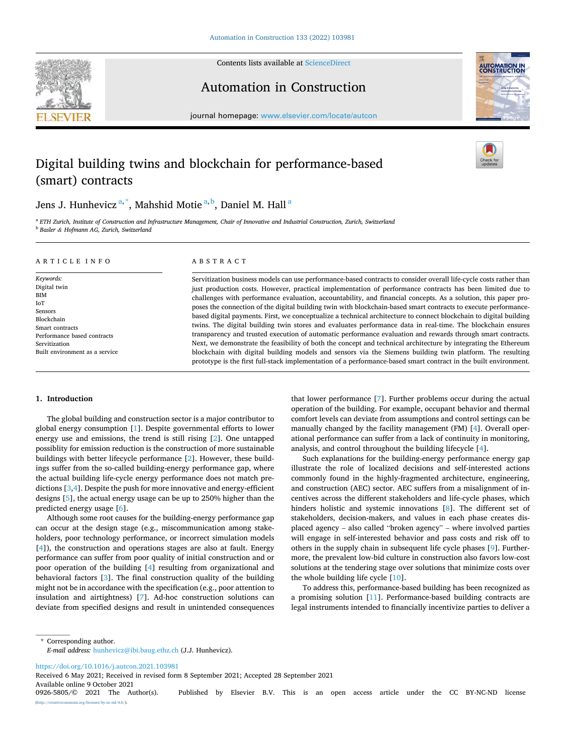

Contents lists available at [ScienceDirect](www.sciencedirect.com/science/journal/09265805)

Automation in Construction



journal homepage: [www.elsevier.com/locate/autcon](https://www.elsevier.com/locate/autcon)

# Digital building twins and blockchain for performance-based (smart) contracts

Jens J. Hunhevicz<sup>a,\*</sup>, Mahshid Motie<sup>a,b</sup>, Daniel M. Hall<sup>a</sup>

<sup>a</sup> *ETH Zurich, Institute of Construction and Infrastructure Management, Chair of Innovative and Industrial Construction, Zurich, Switzerland*  <sup>b</sup> *Basler & Hofmann AG, Zurich, Switzerland* 

#### A R T I C L E I N F O

*Keywords:*  Digital twin **BIM** IoT Sensors Blockchain Smart contracts Performance based contracts Servitization Built environment as a service

## ABSTRACT

Servitization business models can use performance-based contracts to consider overall life-cycle costs rather than just production costs. However, practical implementation of performance contracts has been limited due to challenges with performance evaluation, accountability, and financial concepts. As a solution, this paper proposes the connection of the digital building twin with blockchain-based smart contracts to execute performancebased digital payments. First, we conceptualize a technical architecture to connect blockchain to digital building twins. The digital building twin stores and evaluates performance data in real-time. The blockchain ensures transparency and trusted execution of automatic performance evaluation and rewards through smart contracts. Next, we demonstrate the feasibility of both the concept and technical architecture by integrating the Ethereum blockchain with digital building models and sensors via the Siemens building twin platform. The resulting prototype is the first full-stack implementation of a performance-based smart contract in the built environment.

# **1. Introduction**

The global building and construction sector is a major contributor to global energy consumption [\[1\]](#page-15-0). Despite governmental efforts to lower energy use and emissions, the trend is still rising [\[2\]](#page-15-0). One untapped possiblity for emission reduction is the construction of more sustainable buildings with better lifecycle performance [[2\]](#page-15-0). However, these buildings suffer from the so-called building-energy performance gap, where the actual building life-cycle energy performance does not match predictions [\[3,4\]](#page-15-0). Despite the push for more innovative and energy-efficient designs [\[5\]](#page-15-0), the actual energy usage can be up to 250% higher than the predicted energy usage [\[6\]](#page-15-0).

Although some root causes for the building-energy performance gap can occur at the design stage (e.g., miscommunication among stakeholders, poor technology performance, or incorrect simulation models [[4](#page-15-0)]), the construction and operations stages are also at fault. Energy performance can suffer from poor quality of initial construction and or poor operation of the building [[4](#page-15-0)] resulting from organizational and behavioral factors [\[3\]](#page-15-0). The final construction quality of the building might not be in accordance with the specification (e.g., poor attention to insulation and airtightness) [\[7\]](#page-15-0). Ad-hoc construction solutions can deviate from specified designs and result in unintended consequences that lower performance [[7](#page-15-0)]. Further problems occur during the actual operation of the building. For example, occupant behavior and thermal comfort levels can deviate from assumptions and control settings can be manually changed by the facility management (FM) [\[4\]](#page-15-0). Overall operational performance can suffer from a lack of continuity in monitoring, analysis, and control throughout the building lifecycle [\[4\]](#page-15-0).

Such explanations for the building-energy performance energy gap illustrate the role of localized decisions and self-interested actions commonly found in the highly-fragmented architecture, engineering, and construction (AEC) sector. AEC suffers from a misalignment of incentives across the different stakeholders and life-cycle phases, which hinders holistic and systemic innovations [\[8\]](#page-15-0). The different set of stakeholders, decision-makers, and values in each phase creates displaced agency – also called "broken agency" – where involved parties will engage in self-interested behavior and pass costs and risk off to others in the supply chain in subsequent life cycle phases [\[9\]](#page-15-0). Furthermore, the prevalent low-bid culture in construction also favors low-cost solutions at the tendering stage over solutions that minimize costs over the whole building life cycle [\[10](#page-15-0)].

To address this, performance-based building has been recognized as a promising solution [[11\]](#page-15-0). Performance-based building contracts are legal instruments intended to financially incentivize parties to deliver a

\* Corresponding author. *E-mail address:* [hunhevicz@ibi.baug.ethz.ch](mailto:hunhevicz@ibi.baug.ethz.ch) (J.J. Hunhevicz).

<https://doi.org/10.1016/j.autcon.2021.103981>

Available online 9 October 2021<br>0926-5805/© 2021 The Author(s). Received 6 May 2021; Received in revised form 8 September 2021; Accepted 28 September 2021

Published by Elsevier B.V. This is an open access article under the CC BY-NC-ND license  $\frac{\text{uses}}{\text{by-nc-nd}/4.0}$ .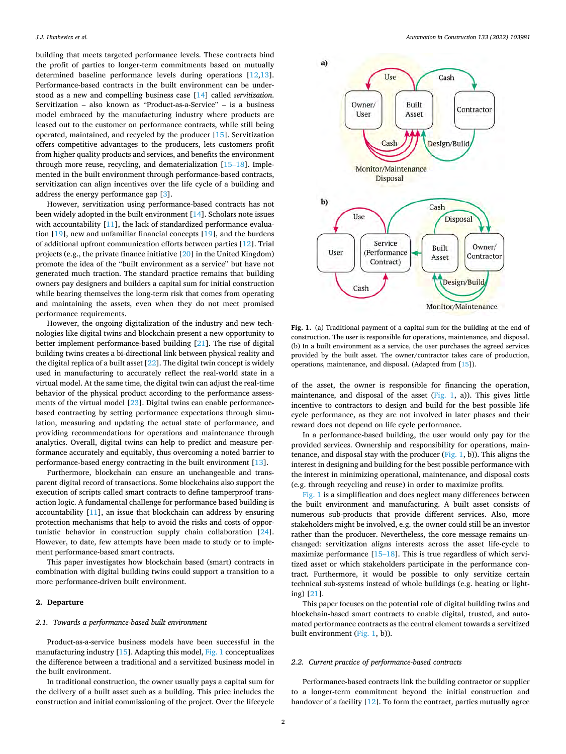building that meets targeted performance levels. These contracts bind the profit of parties to longer-term commitments based on mutually determined baseline performance levels during operations [[12,13](#page-15-0)]. Performance-based contracts in the built environment can be understood as a new and compelling business case [[14\]](#page-15-0) called *servitization*. Servitization – also known as "Product-as-a-Service" – is a business model embraced by the manufacturing industry where products are leased out to the customer on performance contracts, while still being operated, maintained, and recycled by the producer [\[15](#page-15-0)]. Servitization offers competitive advantages to the producers, lets customers profit from higher quality products and services, and benefits the environment through more reuse, recycling, and dematerialization [\[15](#page-15-0)–18]. Implemented in the built environment through performance-based contracts, servitization can align incentives over the life cycle of a building and address the energy performance gap [[3](#page-15-0)].

However, servitization using performance-based contracts has not been widely adopted in the built environment [[14\]](#page-15-0). Scholars note issues with accountability [[11\]](#page-15-0), the lack of standardized performance evaluation [\[19](#page-15-0)], new and unfamiliar financial concepts [[19\]](#page-15-0), and the burdens of additional upfront communication efforts between parties [\[12](#page-15-0)]. Trial projects (e.g., the private finance initiative [[20\]](#page-15-0) in the United Kingdom) promote the idea of the "built environment as a service" but have not generated much traction. The standard practice remains that building owners pay designers and builders a capital sum for initial construction while bearing themselves the long-term risk that comes from operating and maintaining the assets, even when they do not meet promised performance requirements.

However, the ongoing digitalization of the industry and new technologies like digital twins and blockchain present a new opportunity to better implement performance-based building [\[21](#page-15-0)]. The rise of digital building twins creates a bi-directional link between physical reality and the digital replica of a built asset [\[22](#page-15-0)]. The digital twin concept is widely used in manufacturing to accurately reflect the real-world state in a virtual model. At the same time, the digital twin can adjust the real-time behavior of the physical product according to the performance assessments of the virtual model [\[23](#page-15-0)]. Digital twins can enable performancebased contracting by setting performance expectations through simulation, measuring and updating the actual state of performance, and providing recommendations for operations and maintenance through analytics. Overall, digital twins can help to predict and measure performance accurately and equitably, thus overcoming a noted barrier to performance-based energy contracting in the built environment [\[13](#page-15-0)].

Furthermore, blockchain can ensure an unchangeable and transparent digital record of transactions. Some blockchains also support the execution of scripts called smart contracts to define tamperproof transaction logic. A fundamental challenge for performance based building is accountability [\[11](#page-15-0)], an issue that blockchain can address by ensuring protection mechanisms that help to avoid the risks and costs of opportunistic behavior in construction supply chain collaboration [\[24](#page-15-0)]. However, to date, few attempts have been made to study or to implement performance-based smart contracts.

This paper investigates how blockchain based (smart) contracts in combination with digital building twins could support a transition to a more performance-driven built environment.

# **2. Departure**

#### *2.1. Towards a performance-based built environment*

Product-as-a-service business models have been successful in the manufacturing industry [\[15](#page-15-0)]. Adapting this model, Fig. 1 conceptualizes the difference between a traditional and a servitized business model in the built environment.

In traditional construction, the owner usually pays a capital sum for the delivery of a built asset such as a building. This price includes the construction and initial commissioning of the project. Over the lifecycle



**Fig. 1.** (a) Traditional payment of a capital sum for the building at the end of construction. The user is responsible for operations, maintenance, and disposal. (b) In a built environment as a service, the user purchases the agreed services provided by the built asset. The owner/contractor takes care of production, operations, maintenance, and disposal. (Adapted from [[15\]](#page-15-0)).

of the asset, the owner is responsible for financing the operation, maintenance, and disposal of the asset (Fig. 1, a)). This gives little incentive to contractors to design and build for the best possible life cycle performance, as they are not involved in later phases and their reward does not depend on life cycle performance.

In a performance-based building, the user would only pay for the provided services. Ownership and responsibility for operations, maintenance, and disposal stay with the producer (Fig. 1, b)). This aligns the interest in designing and building for the best possible performance with the interest in minimizing operational, maintenance, and disposal costs (e.g. through recycling and reuse) in order to maximize profits.

Fig. 1 is a simplification and does neglect many differences between the built environment and manufacturing. A built asset consists of numerous sub-products that provide different services. Also, more stakeholders might be involved, e.g. the owner could still be an investor rather than the producer. Nevertheless, the core message remains unchanged: servitization aligns interests across the asset life-cycle to maximize performance [15–[18\]](#page-15-0). This is true regardless of which servitized asset or which stakeholders participate in the performance contract. Furthermore, it would be possible to only servitize certain technical sub-systems instead of whole buildings (e.g. heating or lighting) [\[21](#page-15-0)].

This paper focuses on the potential role of digital building twins and blockchain-based smart contracts to enable digital, trusted, and automated performance contracts as the central element towards a servitized built environment (Fig. 1, b)).

## *2.2. Current practice of performance-based contracts*

Performance-based contracts link the building contractor or supplier to a longer-term commitment beyond the initial construction and handover of a facility [[12](#page-15-0)]. To form the contract, parties mutually agree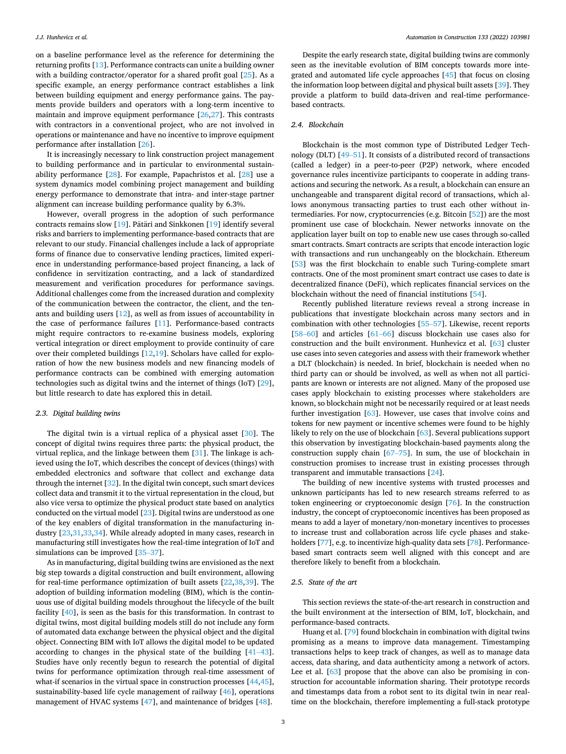on a baseline performance level as the reference for determining the returning profits [\[13](#page-15-0)]. Performance contracts can unite a building owner with a building contractor/operator for a shared profit goal [\[25](#page-15-0)]. As a specific example, an energy performance contract establishes a link between building equipment and energy performance gains. The payments provide builders and operators with a long-term incentive to maintain and improve equipment performance [[26,27](#page-15-0)]. This contrasts with contractors in a conventional project, who are not involved in operations or maintenance and have no incentive to improve equipment performance after installation [[26\]](#page-15-0).

It is increasingly necessary to link construction project management to building performance and in particular to environmental sustainability performance [\[28](#page-15-0)]. For example, Papachristos et al. [\[28](#page-15-0)] use a system dynamics model combining project management and building energy performance to demonstrate that intra- and inter-stage partner alignment can increase building performance quality by 6.3%.

However, overall progress in the adoption of such performance contracts remains slow  $[19]$  $[19]$ . Pätäri and Sinkkonen  $[19]$  $[19]$  $[19]$  identify several risks and barriers to implementing performance-based contracts that are relevant to our study. Financial challenges include a lack of appropriate forms of finance due to conservative lending practices, limited experience in understanding performance-based project financing, a lack of confidence in servitization contracting, and a lack of standardized measurement and verification procedures for performance savings. Additional challenges come from the increased duration and complexity of the communication between the contractor, the client, and the tenants and building users [\[12](#page-15-0)], as well as from issues of accountability in the case of performance failures [\[11](#page-15-0)]. Performance-based contracts might require contractors to re-examine business models, exploring vertical integration or direct employment to provide continuity of care over their completed buildings [\[12,19](#page-15-0)]. Scholars have called for exploration of how the new business models and new financing models of performance contracts can be combined with emerging automation technologies such as digital twins and the internet of things (IoT) [\[29](#page-15-0)], but little research to date has explored this in detail.

#### *2.3. Digital building twins*

The digital twin is a virtual replica of a physical asset [\[30](#page-15-0)]. The concept of digital twins requires three parts: the physical product, the virtual replica, and the linkage between them [\[31](#page-15-0)]. The linkage is achieved using the IoT, which describes the concept of devices (things) with embedded electronics and software that collect and exchange data through the internet [[32\]](#page-15-0). In the digital twin concept, such smart devices collect data and transmit it to the virtual representation in the cloud, but also vice versa to optimize the physical product state based on analytics conducted on the virtual model [[23\]](#page-15-0). Digital twins are understood as one of the key enablers of digital transformation in the manufacturing industry [\[23](#page-15-0),[31](#page-15-0),[33,34\]](#page-15-0). While already adopted in many cases, research in manufacturing still investigates how the real-time integration of IoT and simulations can be improved [\[35](#page-15-0)–37].

As in manufacturing, digital building twins are envisioned as the next big step towards a digital construction and built environment, allowing for real-time performance optimization of built assets [[22,38,39\]](#page-15-0). The adoption of building information modeling (BIM), which is the continuous use of digital building models throughout the lifecycle of the built facility [\[40](#page-15-0)], is seen as the basis for this transformation. In contrast to digital twins, most digital building models still do not include any form of automated data exchange between the physical object and the digital object. Connecting BIM with IoT allows the digital model to be updated according to changes in the physical state of the building [\[41](#page-15-0)–43]. Studies have only recently begun to research the potential of digital twins for performance optimization through real-time assessment of what-if scenarios in the virtual space in construction processes [[44,45](#page-15-0)], sustainability-based life cycle management of railway [\[46](#page-15-0)], operations management of HVAC systems [[47\]](#page-15-0), and maintenance of bridges [\[48](#page-15-0)].

Despite the early research state, digital building twins are commonly seen as the inevitable evolution of BIM concepts towards more integrated and automated life cycle approaches [\[45](#page-15-0)] that focus on closing the information loop between digital and physical built assets [[39\]](#page-15-0). They provide a platform to build data-driven and real-time performancebased contracts.

#### *2.4. Blockchain*

Blockchain is the most common type of Distributed Ledger Technology (DLT) [49–[51\]](#page-15-0). It consists of a distributed record of transactions (called a ledger) in a peer-to-peer (P2P) network, where encoded governance rules incentivize participants to cooperate in adding transactions and securing the network. As a result, a blockchain can ensure an unchangeable and transparent digital record of transactions, which allows anonymous transacting parties to trust each other without intermediaries. For now, cryptocurrencies (e.g. Bitcoin [[52\]](#page-16-0)) are the most prominent use case of blockchain. Newer networks innovate on the application layer built on top to enable new use cases through so-called smart contracts. Smart contracts are scripts that encode interaction logic with transactions and run unchangeably on the blockchain. Ethereum [[53\]](#page-16-0) was the first blockchain to enable such Turing-complete smart contracts. One of the most prominent smart contract use cases to date is decentralized finance (DeFi), which replicates financial services on the blockchain without the need of financial institutions [[54\]](#page-16-0).

Recently published literature reviews reveal a strong increase in publications that investigate blockchain across many sectors and in combination with other technologies [\[55](#page-16-0)–57]. Likewise, recent reports [58–[60\]](#page-16-0) and articles [61–[66\]](#page-16-0) discuss blockchain use cases also for construction and the built environment. Hunhevicz et al. [[63\]](#page-16-0) cluster use cases into seven categories and assess with their framework whether a DLT (blockchain) is needed. In brief, blockchain is needed when no third party can or should be involved, as well as when not all participants are known or interests are not aligned. Many of the proposed use cases apply blockchain to existing processes where stakeholders are known, so blockchain might not be necessarily required or at least needs further investigation [\[63](#page-16-0)]. However, use cases that involve coins and tokens for new payment or incentive schemes were found to be highly likely to rely on the use of blockchain [[63\]](#page-16-0). Several publications support this observation by investigating blockchain-based payments along the construction supply chain [67–[75\]](#page-16-0). In sum, the use of blockchain in construction promises to increase trust in existing processes through transparent and immutable transactions [\[24](#page-15-0)].

The building of new incentive systems with trusted processes and unknown participants has led to new research streams referred to as token engineering or cryptoeconomic design [\[76\]](#page-16-0). In the construction industry, the concept of cryptoeconomic incentives has been proposed as means to add a layer of monetary/non-monetary incentives to processes to increase trust and collaboration across life cycle phases and stakeholders [\[77](#page-16-0)], e.g. to incentivize high-quality data sets [[78\]](#page-16-0). Performancebased smart contracts seem well aligned with this concept and are therefore likely to benefit from a blockchain.

# *2.5. State of the art*

This section reviews the state-of-the-art research in construction and the built environment at the intersection of BIM, IoT, blockchain, and performance-based contracts.

Huang et al. [[79\]](#page-16-0) found blockchain in combination with digital twins promising as a means to improve data management. Timestamping transactions helps to keep track of changes, as well as to manage data access, data sharing, and data authenticity among a network of actors. Lee et al. [[63\]](#page-16-0) propose that the above can also be promising in construction for accountable information sharing. Their prototype records and timestamps data from a robot sent to its digital twin in near realtime on the blockchain, therefore implementing a full-stack prototype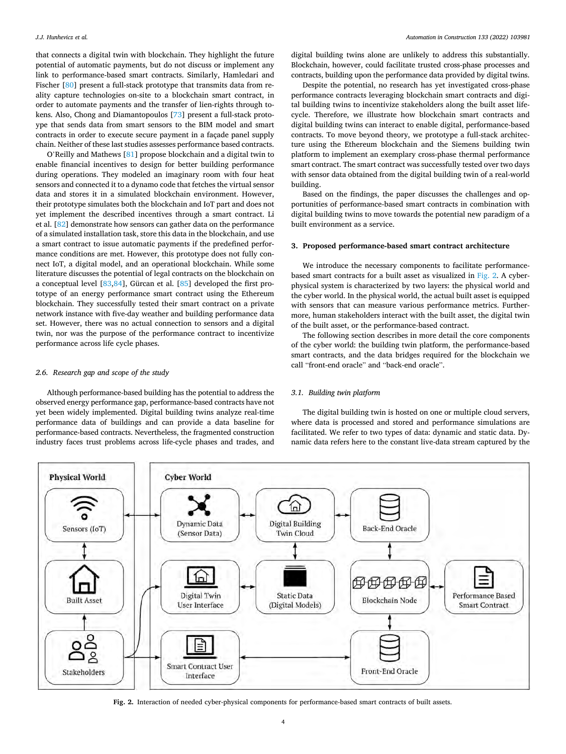<span id="page-3-0"></span>that connects a digital twin with blockchain. They highlight the future potential of automatic payments, but do not discuss or implement any link to performance-based smart contracts. Similarly, Hamledari and Fischer [[80\]](#page-16-0) present a full-stack prototype that transmits data from reality capture technologies on-site to a blockchain smart contract, in order to automate payments and the transfer of lien-rights through tokens. Also, Chong and Diamantopoulos [\[73\]](#page-16-0) present a full-stack protoype that sends data from smart sensors to the BIM model and smart contracts in order to execute secure payment in a façade panel supply chain. Neither of these last studies assesses performance based contracts.

O'Reilly and Mathews [[81\]](#page-16-0) propose blockchain and a digital twin to enable financial incentives to design for better building performance during operations. They modeled an imaginary room with four heat sensors and connected it to a dynamo code that fetches the virtual sensor data and stores it in a simulated blockchain environment. However, their prototype simulates both the blockchain and IoT part and does not yet implement the described incentives through a smart contract. Li et al. [\[82](#page-16-0)] demonstrate how sensors can gather data on the performance of a simulated installation task, store this data in the blockchain, and use a smart contract to issue automatic payments if the predefined performance conditions are met. However, this prototype does not fully connect IoT, a digital model, and an operational blockchain. While some literature discusses the potential of legal contracts on the blockchain on a conceptual level [\[83](#page-16-0),[84\]](#page-16-0), Gürcan et al. [\[85](#page-16-0)] developed the first prototype of an energy performance smart contract using the Ethereum blockchain. They successfully tested their smart contract on a private network instance with five-day weather and building performance data set. However, there was no actual connection to sensors and a digital twin, nor was the purpose of the performance contract to incentivize performance across life cycle phases.

## *2.6. Research gap and scope of the study*

Although performance-based building has the potential to address the observed energy performance gap, performance-based contracts have not yet been widely implemented. Digital building twins analyze real-time performance data of buildings and can provide a data baseline for performance-based contracts. Nevertheless, the fragmented construction industry faces trust problems across life-cycle phases and trades, and

digital building twins alone are unlikely to address this substantially. Blockchain, however, could facilitate trusted cross-phase processes and contracts, building upon the performance data provided by digital twins.

Despite the potential, no research has yet investigated cross-phase performance contracts leveraging blockchain smart contracts and digital building twins to incentivize stakeholders along the built asset lifecycle. Therefore, we illustrate how blockchain smart contracts and digital building twins can interact to enable digital, performance-based contracts. To move beyond theory, we prototype a full-stack architecture using the Ethereum blockchain and the Siemens building twin platform to implement an exemplary cross-phase thermal performance smart contract. The smart contract was successfully tested over two days with sensor data obtained from the digital building twin of a real-world building.

Based on the findings, the paper discusses the challenges and opportunities of performance-based smart contracts in combination with digital building twins to move towards the potential new paradigm of a built environment as a service.

## **3. Proposed performance-based smart contract architecture**

We introduce the necessary components to facilitate performancebased smart contracts for a built asset as visualized in Fig. 2. A cyberphysical system is characterized by two layers: the physical world and the cyber world. In the physical world, the actual built asset is equipped with sensors that can measure various performance metrics. Furthermore, human stakeholders interact with the built asset, the digital twin of the built asset, or the performance-based contract.

The following section describes in more detail the core components of the cyber world: the building twin platform, the performance-based smart contracts, and the data bridges required for the blockchain we call "front-end oracle" and "back-end oracle".

#### *3.1. Building twin platform*

The digital building twin is hosted on one or multiple cloud servers, where data is processed and stored and performance simulations are facilitated. We refer to two types of data: dynamic and static data. Dynamic data refers here to the constant live-data stream captured by the



**Fig. 2.** Interaction of needed cyber-physical components for performance-based smart contracts of built assets.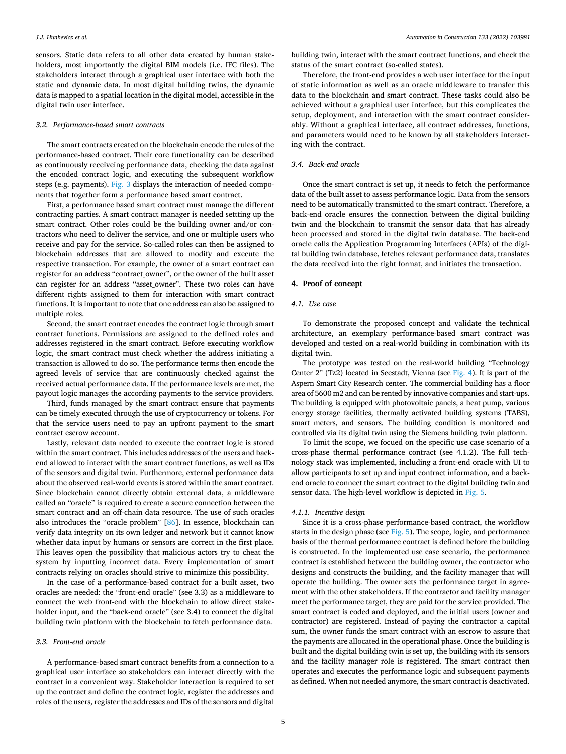sensors. Static data refers to all other data created by human stakeholders, most importantly the digital BIM models (i.e. IFC files). The stakeholders interact through a graphical user interface with both the static and dynamic data. In most digital building twins, the dynamic data is mapped to a spatial location in the digital model, accessible in the digital twin user interface.

#### *3.2. Performance-based smart contracts*

The smart contracts created on the blockchain encode the rules of the performance-based contract. Their core functionality can be described as continuously receiveing performance data, checking the data against the encoded contract logic, and executing the subsequent workflow steps (e.g. payments). [Fig. 3](#page-5-0) displays the interaction of needed components that together form a performance based smart contract.

First, a performance based smart contract must manage the different contracting parties. A smart contract manager is needed settting up the smart contract. Other roles could be the building owner and/or contractors who need to deliver the service, and one or multiple users who receive and pay for the service. So-called roles can then be assigned to blockchain addresses that are allowed to modify and execute the respective transaction. For example, the owner of a smart contract can register for an address "contract\_owner", or the owner of the built asset can register for an address "asset\_owner". These two roles can have different rights assigned to them for interaction with smart contract functions. It is important to note that one address can also be assigned to multiple roles.

Second, the smart contract encodes the contract logic through smart contract functions. Permissions are assigned to the defined roles and addresses registered in the smart contract. Before executing workflow logic, the smart contract must check whether the address initiating a transaction is allowed to do so. The performance terms then encode the agreed levels of service that are continuously checked against the received actual performance data. If the performance levels are met, the payout logic manages the according payments to the service providers.

Third, funds managed by the smart contract ensure that payments can be timely executed through the use of cryptocurrency or tokens. For that the service users need to pay an upfront payment to the smart contract escrow account.

Lastly, relevant data needed to execute the contract logic is stored within the smart contract. This includes addresses of the users and backend allowed to interact with the smart contract functions, as well as IDs of the sensors and digital twin. Furthermore, external performance data about the observed real-world events is stored within the smart contract. Since blockchain cannot directly obtain external data, a middleware called an "oracle" is required to create a secure connection between the smart contract and an off-chain data resource. The use of such oracles also introduces the "oracle problem" [[86\]](#page-16-0). In essence, blockchain can verify data integrity on its own ledger and network but it cannot know whether data input by humans or sensors are correct in the first place. This leaves open the possibility that malicious actors try to cheat the system by inputting incorrect data. Every implementation of smart contracts relying on oracles should strive to minimize this possibility.

In the case of a performance-based contract for a built asset, two oracles are needed: the "front-end oracle" (see 3.3) as a middleware to connect the web front-end with the blockchain to allow direct stakeholder input, and the "back-end oracle" (see 3.4) to connect the digital building twin platform with the blockchain to fetch performance data.

#### *3.3. Front-end oracle*

A performance-based smart contract benefits from a connection to a graphical user interface so stakeholders can interact directly with the contract in a convenient way. Stakeholder interaction is required to set up the contract and define the contract logic, register the addresses and roles of the users, register the addresses and IDs of the sensors and digital

building twin, interact with the smart contract functions, and check the status of the smart contract (so-called states).

Therefore, the front-end provides a web user interface for the input of static information as well as an oracle middleware to transfer this data to the blockchain and smart contract. These tasks could also be achieved without a graphical user interface, but this complicates the setup, deployment, and interaction with the smart contract considerably. Without a graphical interface, all contract addresses, functions, and parameters would need to be known by all stakeholders interacting with the contract.

# *3.4. Back-end oracle*

Once the smart contract is set up, it needs to fetch the performance data of the built asset to assess performance logic. Data from the sensors need to be automatically transmitted to the smart contract. Therefore, a back-end oracle ensures the connection between the digital building twin and the blockchain to transmit the sensor data that has already been processed and stored in the digital twin database. The back-end oracle calls the Application Programming Interfaces (APIs) of the digital building twin database, fetches relevant performance data, translates the data received into the right format, and initiates the transaction.

# **4. Proof of concept**

# *4.1. Use case*

To demonstrate the proposed concept and validate the technical architecture, an exemplary performance-based smart contract was developed and tested on a real-world building in combination with its digital twin.

The prototype was tested on the real-world building "Technology Center 2" (Tz2) located in Seestadt, Vienna (see [Fig. 4\)](#page-5-0). It is part of the Aspern Smart City Research center. The commercial building has a floor area of 5600 m2 and can be rented by innovative companies and start-ups. The building is equipped with photovoltaic panels, a heat pump, various energy storage facilities, thermally activated building systems (TABS), smart meters, and sensors. The building condition is monitored and controlled via its digital twin using the Siemens building twin platform.

To limit the scope, we focued on the specific use case scenario of a cross-phase thermal performance contract (see 4.1.2). The full technology stack was implemented, including a front-end oracle with UI to allow participants to set up and input contract information, and a backend oracle to connect the smart contract to the digital building twin and sensor data. The high-level workflow is depicted in [Fig. 5.](#page-5-0)

## *4.1.1. Incentive design*

Since it is a cross-phase performance-based contract, the workflow starts in the design phase (see [Fig. 5](#page-5-0)). The scope, logic, and performance basis of the thermal performance contract is defined before the building is constructed. In the implemented use case scenario, the performance contract is established between the building owner, the contractor who designs and constructs the building, and the facility manager that will operate the building. The owner sets the performance target in agreement with the other stakeholders. If the contractor and facility manager meet the performance target, they are paid for the service provided. The smart contract is coded and deployed, and the initial users (owner and contractor) are registered. Instead of paying the contractor a capital sum, the owner funds the smart contract with an escrow to assure that the payments are allocated in the operational phase. Once the building is built and the digital building twin is set up, the building with its sensors and the facility manager role is registered. The smart contract then operates and executes the performance logic and subsequent payments as defined. When not needed anymore, the smart contract is deactivated.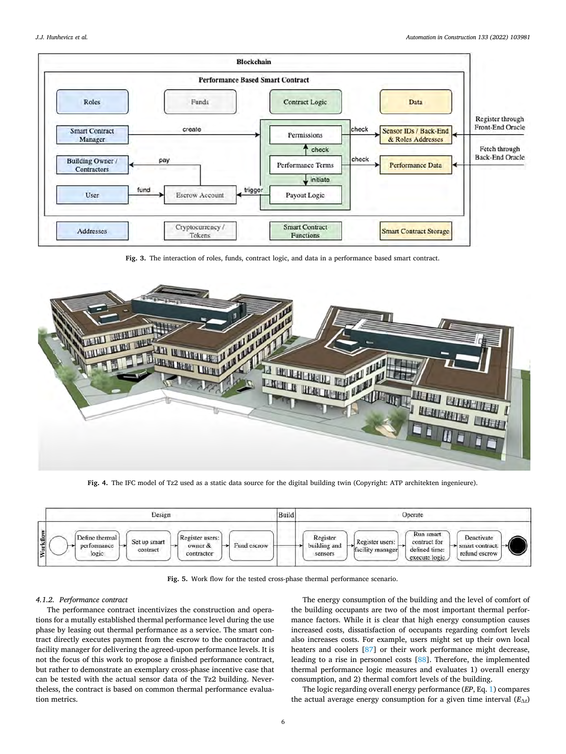<span id="page-5-0"></span>

**Fig. 3.** The interaction of roles, funds, contract logic, and data in a performance based smart contract.



**Fig. 4.** The IFC model of Tz2 used as a static data source for the digital building twin (Copyright: ATP architekten ingenieure).



**Fig. 5.** Work flow for the tested cross-phase thermal performance scenario.

## *4.1.2. Performance contract*

The performance contract incentivizes the construction and operations for a mutally established thermal performance level during the use phase by leasing out thermal performance as a service. The smart contract directly executes payment from the escrow to the contractor and facility manager for delivering the agreed-upon performance levels. It is not the focus of this work to propose a finished performance contract, but rather to demonstrate an exemplary cross-phase incentive case that can be tested with the actual sensor data of the Tz2 building. Nevertheless, the contract is based on common thermal performance evaluation metrics.

The energy consumption of the building and the level of comfort of the building occupants are two of the most important thermal performance factors. While it is clear that high energy consumption causes increased costs, dissatisfaction of occupants regarding comfort levels also increases costs. For example, users might set up their own local heaters and coolers [\[87](#page-16-0)] or their work performance might decrease, leading to a rise in personnel costs [[88\]](#page-16-0). Therefore, the implemented thermal performance logic measures and evaluates 1) overall energy consumption, and 2) thermal comfort levels of the building.

The logic regarding overall energy performance (*EP*, Eq. [1](#page-6-0)) compares the actual average energy consumption for a given time interval (*E*∆*t*)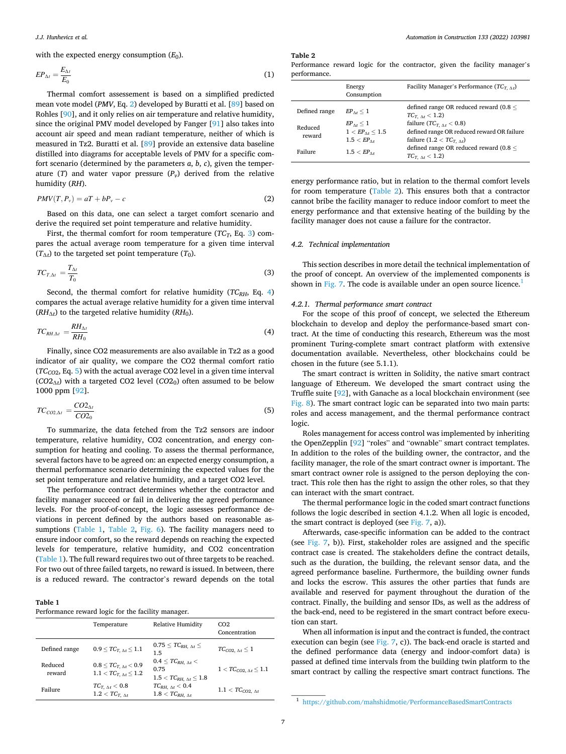<span id="page-6-0"></span>with the expected energy consumption  $(E_0)$ .

$$
EP_{\Delta t} = \frac{E_{\Delta t}}{E_0} \tag{1}
$$

Thermal comfort assessement is based on a simplified predicted mean vote model (*PMV*, Eq. 2) developed by Buratti et al. [[89\]](#page-16-0) based on Rohles [\[90](#page-16-0)], and it only relies on air temperature and relative humidity, since the original PMV model developed by Fanger [\[91](#page-16-0)] also takes into account air speed and mean radiant temperature, neither of which is measured in Tz2. Buratti et al. [[89](#page-16-0)] provide an extensive data baseline distilled into diagrams for acceptable levels of PMV for a specific comfort scenario (determined by the parameters *a*, *b*, *c*), given the temperature  $(T)$  and water vapor pressure  $(P_v)$  derived from the relative humidity (*RH*).

$$
PMV(T, P_v) = aT + bP_v - c \tag{2}
$$

Based on this data, one can select a target comfort scenario and derive the required set point temperature and relative humidity.

First, the thermal comfort for room temperature  $(TC_T, Eq. 3)$  compares the actual average room temperature for a given time interval  $(T_{\Lambda t})$  to the targeted set point temperature  $(T_0)$ .

$$
TC_{T,\Delta t} = \frac{T_{\Delta t}}{T_0} \tag{3}
$$

Second, the thermal comfort for relative humidity (*TC<sub>RH</sub>*, Eq. 4) compares the actual average relative humidity for a given time interval  $(RH_{\Lambda t})$  to the targeted relative humidity  $(RH_0)$ .

$$
TC_{RH,\Delta t} = \frac{RH_{\Delta t}}{RH_0} \tag{4}
$$

Finally, since CO2 measurements are also available in Tz2 as a good indicator of air quality, we compare the CO2 thermal comfort ratio  $(TC<sub>CO2</sub>, Eq. 5)$  with the actual average CO2 level in a given time interval (*CO*2∆*t*) with a targeted CO2 level (*CO*20) often assumed to be below 1000 ppm [\[92](#page-16-0)].

$$
TC_{CO2,\Delta t} = \frac{CO2_{\Delta t}}{CO2_0} \tag{5}
$$

To summarize, the data fetched from the Tz2 sensors are indoor temperature, relative humidity, CO2 concentration, and energy consumption for heating and cooling. To assess the thermal performance, several factors have to be agreed on: an expected energy consumption, a thermal performance scenario determining the expected values for the set point temperature and relative humidity, and a target CO2 level.

The performance contract determines whether the contractor and facility manager succeed or fail in delivering the agreed performance levels. For the proof-of-concept, the logic assesses performance deviations in percent defined by the authors based on reasonable assumptions (Table 1, Table 2, [Fig. 6](#page-7-0)). The facility managers need to ensure indoor comfort, so the reward depends on reaching the expected levels for temperature, relative humidity, and CO2 concentration (Table 1). The full reward requires two out of three targets to be reached. For two out of three failed targets, no reward is issued. In between, there is a reduced reward. The contractor's reward depends on the total

| Performance reward logic for the facility manager. |  |  |
|----------------------------------------------------|--|--|

|                   | Temperature                                                      | Relative Humidity                                                            | CO <sub>2</sub><br>Concentration   |
|-------------------|------------------------------------------------------------------|------------------------------------------------------------------------------|------------------------------------|
| Defined range     | $0.9 \leq TC_{T, \Delta t} \leq 1.1$                             | $0.75 \leq T C_{RH,\ \Delta t} \leq$<br>1.5                                  | $TC_{CO2, \Delta t} \leq 1$        |
| Reduced<br>reward | $0.8 \leq T C_{T, \Delta t} < 0.9$<br>$1.1 < TC_{T, M} \leq 1.2$ | $0.4 \leq T C_{RH, \Delta t}$<br>0.75<br>$1.5 < T C_{RH, \Delta t} \leq 1.8$ | $1 < T C_{CO2, \Delta t} \leq 1.1$ |
| Failure           | $TC_{T,\;\Delta t} < 0.8$<br>$1.2 < TC_{T \Lambda t}$            | $TC_{RH, \Delta t} < 0.4$<br>$1.8 < TC_{RH_{1.}}$ $\wedge t$                 | $1.1 < TC_{CO2, \Delta t}$         |

*Automation in Construction 133 (2022) 103981*

**Table 2** 

Performance reward logic for the contractor, given the facility manager's performance.

| Energy<br>Consumption                              | Facility Manager's Performance $(TC_{T, \Delta t})$                                                                                                      |
|----------------------------------------------------|----------------------------------------------------------------------------------------------------------------------------------------------------------|
| $EP_{\Lambda t} \leq 1$<br>$EP_{\Lambda t} \leq 1$ | defined range OR reduced reward (0.8 $<$<br>$TC_{T, \Delta t} < 1.2$<br>failure $(TC_{T, \Delta t} < 0.8)$<br>defined range OR reduced reward OR failure |
| $1.5 < EP_{\text{Ar}}$<br>$1.5 < EP$ <sub>At</sub> | failure $(1.2 < TC_{T \Lambda t})$<br>defined range OR reduced reward (0.8 $<$<br>$TC_{T, \Delta t} < 1.2$                                               |
|                                                    | $1 < E P_{\Lambda t} \le 1.5$                                                                                                                            |

energy performance ratio, but in relation to the thermal comfort levels for room temperature (Table 2). This ensures both that a contractor cannot bribe the facility manager to reduce indoor comfort to meet the energy performance and that extensive heating of the building by the facility manager does not cause a failure for the contractor.

## *4.2. Technical implementation*

This section describes in more detail the technical implementation of the proof of concept. An overview of the implemented components is shown in [Fig. 7](#page-8-0). The code is available under an open source licence.<sup>1</sup>

#### *4.2.1. Thermal performance smart contract*

For the scope of this proof of concept, we selected the Ethereum blockchain to develop and deploy the performance-based smart contract. At the time of conducting this research, Ethereum was the most prominent Turing-complete smart contract platform with extensive documentation available. Nevertheless, other blockchains could be chosen in the future (see 5.1.1).

The smart contract is written in Solidity, the native smart contract language of Ethereum. We developed the smart contract using the Truffle suite [[92\]](#page-16-0), with Ganache as a local blockchain environment (see [Fig. 8\)](#page-9-0). The smart contract logic can be separated into two main parts: roles and access management, and the thermal performance contract logic.

Roles management for access control was implemented by inheriting the OpenZepplin [[92\]](#page-16-0) "roles" and "ownable" smart contract templates. In addition to the roles of the building owner, the contractor, and the facility manager, the role of the smart contract owner is important. The smart contract owner role is assigned to the person deploying the contract. This role then has the right to assign the other roles, so that they can interact with the smart contract.

The thermal performance logic in the coded smart contract functions follows the logic described in section 4.1.2. When all logic is encoded, the smart contract is deployed (see [Fig. 7,](#page-8-0) a)).

Afterwards, case-specific information can be added to the contract (see [Fig. 7,](#page-8-0) b)). First, stakeholder roles are assigned and the specific contract case is created. The stakeholders define the contract details, such as the duration, the building, the relevant sensor data, and the agreed performance baseline. Furthermore, the building owner funds and locks the escrow. This assures the other parties that funds are available and reserved for payment throughout the duration of the contract. Finally, the building and sensor IDs, as well as the address of the back-end, need to be registered in the smart contract before execution can start.

When all information is input and the contract is funded, the contract execution can begin (see Fig.  $7$ , c)). The back-end oracle is started and the defined performance data (energy and indoor-comfort data) is passed at defined time intervals from the building twin platform to the smart contract by calling the respective smart contract functions. The

<sup>1</sup> <https://github.com/mahshidmotie/PerformanceBasedSmartContracts>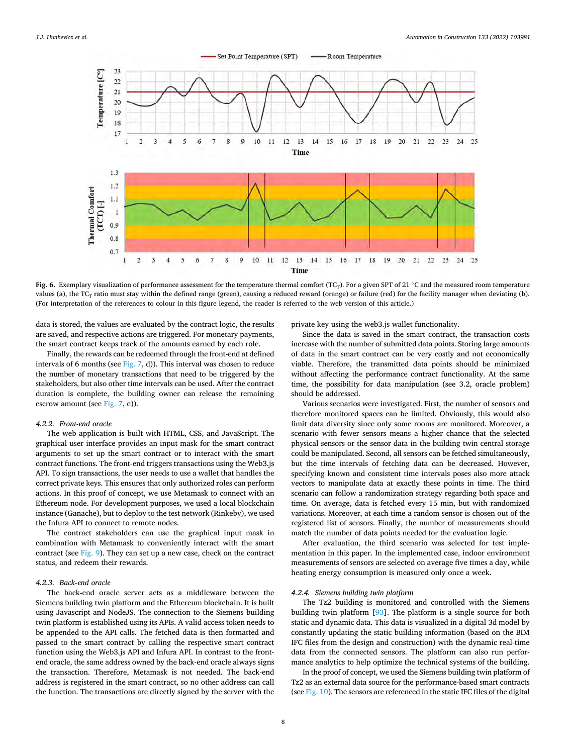<span id="page-7-0"></span>

**Fig. 6.** Exemplary visualization of performance assessment for the temperature thermal comfort (TC<sub>T</sub>). For a given SPT of 21 ℃ and the measured room temperature values (a), the  $TC_T$  ratio must stay within the defined range (green), causing a reduced reward (orange) or failure (red) for the facility manager when deviating (b). (For interpretation of the references to colour in this figure legend, the reader is referred to the web version of this article.)

data is stored, the values are evaluated by the contract logic, the results are saved, and respective actions are triggered. For monetary payments, the smart contract keeps track of the amounts earned by each role.

Finally, the rewards can be redeemed through the front-end at defined intervals of 6 months (see [Fig. 7](#page-8-0), d)). This interval was chosen to reduce the number of monetary transactions that need to be triggered by the stakeholders, but also other time intervals can be used. After the contract duration is complete, the building owner can release the remaining escrow amount (see [Fig. 7](#page-8-0), e)).

#### *4.2.2. Front-end oracle*

The web application is built with HTML, CSS, and JavaScript. The graphical user interface provides an input mask for the smart contract arguments to set up the smart contract or to interact with the smart contract functions. The front-end triggers transactions using the Web3.js API. To sign transactions, the user needs to use a wallet that handles the correct private keys. This ensures that only authorized roles can perform actions. In this proof of concept, we use Metamask to connect with an Ethereum node. For development purposes, we used a local blockchain instance (Ganache), but to deploy to the test network (Rinkeby), we used the Infura API to connect to remote nodes.

The contract stakeholders can use the graphical input mask in combination with Metamask to conveniently interact with the smart contract (see [Fig. 9\)](#page-10-0). They can set up a new case, check on the contract status, and redeem their rewards.

## *4.2.3. Back-end oracle*

The back-end oracle server acts as a middleware between the Siemens building twin platform and the Ethereum blockchain. It is built using Javascript and NodeJS. The connection to the Siemens building twin platform is established using its APIs. A valid access token needs to be appended to the API calls. The fetched data is then formatted and passed to the smart contract by calling the respective smart contract function using the Web3.js API and Infura API. In contrast to the frontend oracle, the same address owned by the back-end oracle always signs the transaction. Therefore, Metamask is not needed. The back-end address is registered in the smart contract, so no other address can call the function. The transactions are directly signed by the server with the private key using the web3.js wallet functionality.

Since the data is saved in the smart contract, the transaction costs increase with the number of submitted data points. Storing large amounts of data in the smart contract can be very costly and not economically viable. Therefore, the transmitted data points should be minimized without affecting the performance contract functionality. At the same time, the possibility for data manipulation (see 3.2, oracle problem) should be addressed.

Various scenarios were investigated. First, the number of sensors and therefore monitored spaces can be limited. Obviously, this would also limit data diversity since only some rooms are monitored. Moreover, a scenario with fewer sensors means a higher chance that the selected physical sensors or the sensor data in the building twin central storage could be manipulated. Second, all sensors can be fetched simultaneously, but the time intervals of fetching data can be decreased. However, specifying known and consistent time intervals poses also more attack vectors to manipulate data at exactly these points in time. The third scenario can follow a randomization strategy regarding both space and time. On average, data is fetched every 15 min, but with randomized variations. Moreover, at each time a random sensor is chosen out of the registered list of sensors. Finally, the number of measurements should match the number of data points needed for the evaluation logic.

After evaluation, the third scenario was selected for test implementation in this paper. In the implemented case, indoor environment measurements of sensors are selected on average five times a day, while heating energy consumption is measured only once a week.

#### *4.2.4. Siemens building twin platform*

The Tz2 building is monitored and controlled with the Siemens building twin platform [\[93](#page-16-0)]. The platform is a single source for both static and dynamic data. This data is visualized in a digital 3d model by constantly updating the static building information (based on the BIM IFC files from the design and construction) with the dynamic real-time data from the connected sensors. The platform can also run performance analytics to help optimize the technical systems of the building.

In the proof of concept, we used the Siemens building twin platform of Tz2 as an external data source for the performance-based smart contracts (see [Fig. 10](#page-11-0)). The sensors are referenced in the static IFC files of the digital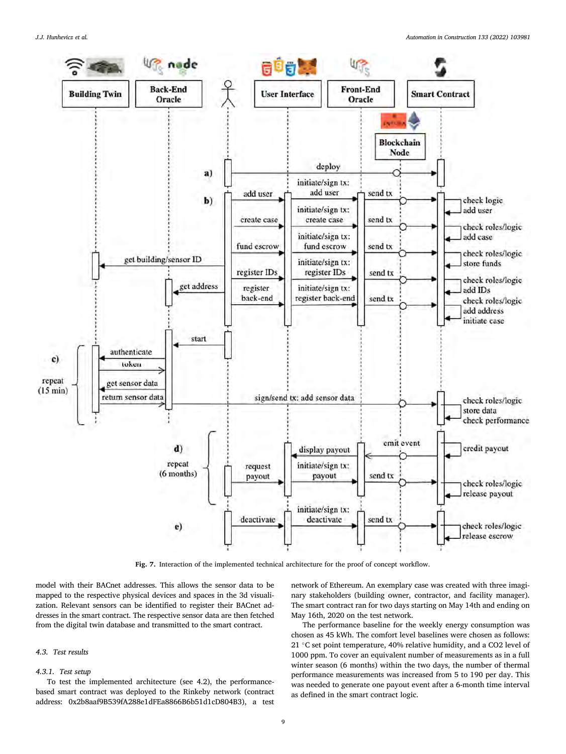<span id="page-8-0"></span>

**Fig. 7.** Interaction of the implemented technical architecture for the proof of concept workflow.

model with their BACnet addresses. This allows the sensor data to be mapped to the respective physical devices and spaces in the 3d visualization. Relevant sensors can be identified to register their BACnet addresses in the smart contract. The respective sensor data are then fetched from the digital twin database and transmitted to the smart contract.

# *4.3. Test results*

# *4.3.1. Test setup*

To test the implemented architecture (see 4.2), the performancebased smart contract was deployed to the Rinkeby network (contract address: 0x2b8aaf9B539fA288e1dFEa8866B6b51d1cD804B3), a test

network of Ethereum. An exemplary case was created with three imaginary stakeholders (building owner, contractor, and facility manager). The smart contract ran for two days starting on May 14th and ending on May 16th, 2020 on the test network.

The performance baseline for the weekly energy consumption was chosen as 45 kWh. The comfort level baselines were chosen as follows: 21 ℃ set point temperature, 40% relative humidity, and a CO2 level of 1000 ppm. To cover an equivalent number of measurements as in a full winter season (6 months) within the two days, the number of thermal performance measurements was increased from 5 to 190 per day. This was needed to generate one payout event after a 6-month time interval as defined in the smart contract logic.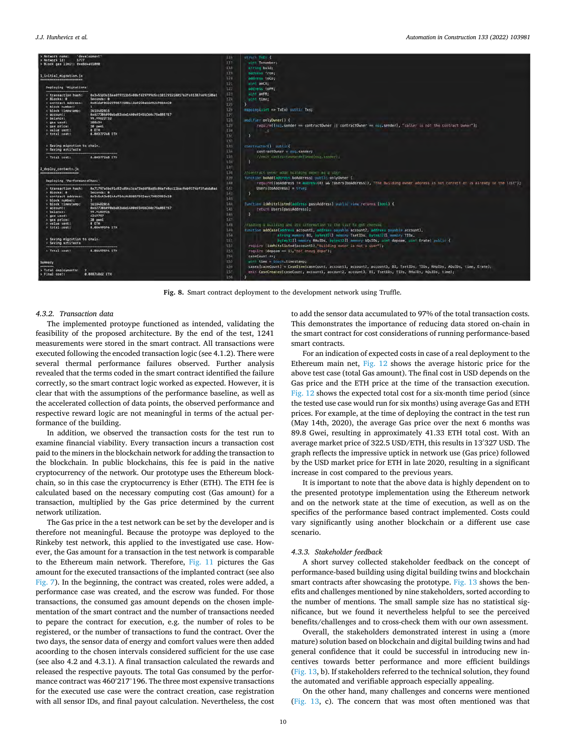#### <span id="page-9-0"></span>*J.J. Hunhevicz et al.*



**Fig. 8.** Smart contract deployment to the development network using Truffle.

#### *4.3.2. Transaction data*

The implemented protoype functioned as intended, validating the feasibility of the proposed architecture. By the end of the test, 1241 measurements were stored in the smart contract. All transactions were executed following the encoded transaction logic (see 4.1.2). There were several thermal performance failures observed. Further analysis revealed that the terms coded in the smart contract identified the failure correctly, so the smart contract logic worked as expected. However, it is clear that with the assumptions of the performance baseline, as well as the accelerated collection of data points, the observed performance and respective reward logic are not meaningful in terms of the actual performance of the building.

In addition, we observed the transaction costs for the test run to examine financial viability. Every transaction incurs a transaction cost paid to the miners in the blockchain network for adding the transaction to the blockchain. In public blockchains, this fee is paid in the native cryptocurrency of the network. Our prototype uses the Ethereum blockchain, so in this case the cryptocurrency is Ether (ETH). The ETH fee is calculated based on the necessary computing cost (Gas amount) for a transaction, multiplied by the Gas price determined by the current network utilization.

The Gas price in the a test network can be set by the developer and is therefore not meaningful. Because the protoype was deployed to the Rinkeby test network, this applied to the investigated use case. However, the Gas amount for a transaction in the test network is comparable to the Ethereum main network. Therefore, [Fig. 11](#page-11-0) pictures the Gas amount for the executed transactions of the implanted contract (see also [Fig. 7\)](#page-8-0). In the beginning, the contract was created, roles were added, a performance case was created, and the escrow was funded. For those transactions, the consumed gas amount depends on the chosen implementation of the smart contract and the number of transactions needed to pepare the contract for execution, e.g. the number of roles to be registered, or the number of transactions to fund the contract. Over the two days, the sensor data of energy and comfort values were then added acoording to the chosen intervals considered sufficient for the use case (see also 4.2 and 4.3.1). A final transaction calculated the rewards and released the respective payouts. The total Gas consumed by the performance contract was 460′ 217'196. The three most expensive transactions for the executed use case were the contract creation, case registration with all sensor IDs, and final payout calculation. Nevertheless, the cost

to add the sensor data accumulated to 97% of the total transaction costs. This demonstrates the importance of reducing data stored on-chain in the smart contract for cost considerations of running performance-based smart contracts.

For an indication of expected costs in case of a real deployment to the Ethereum main net, [Fig. 12](#page-12-0) shows the average historic price for the above test case (total Gas amount). The final cost in USD depends on the Gas price and the ETH price at the time of the transaction execution. [Fig. 12](#page-12-0) shows the expected total cost for a six-month time period (since the tested use case would run for six months) using average Gas and ETH prices. For example, at the time of deploying the contract in the test run (May 14th, 2020), the average Gas price over the next 6 months was 89.8 Gwei, resulting in approximately 41.33 ETH total cost. With an average market price of 322.5 USD/ETH, this results in 13′ 327 USD. The graph reflects the impressive uptick in network use (Gas price) followed by the USD market price for ETH in late 2020, resulting in a significant increase in cost compared to the previous years.

It is important to note that the above data is highly dependent on to the presented prototype implementation using the Ethereum network and on the network state at the time of execution, as well as on the specifics of the performance based contract implemented. Costs could vary significantly using another blockchain or a different use case scenario.

#### *4.3.3. Stakeholder feedback*

A short survey collected stakeholder feedback on the concept of performance-based building using digital building twins and blockchain smart contracts after showcasing the prototype. [Fig. 13](#page-13-0) shows the benefits and challenges mentioned by nine stakeholders, sorted according to the number of mentions. The small sample size has no statistical significance, but we found it nevertheless helpful to see the perceived benefits/challenges and to cross-check them with our own assessment.

Overall, the stakeholders demonstrated interest in using a (more mature) solution based on blockchain and digital building twins and had general confidence that it could be successful in introducing new incentives towards better performance and more efficient buildings ([Fig. 13,](#page-13-0) b). If stakeholders referred to the technical solution, they found the automated and verifiable approach especially appealing.

On the other hand, many challenges and concerns were mentioned ([Fig. 13,](#page-13-0) c). The concern that was most often mentioned was that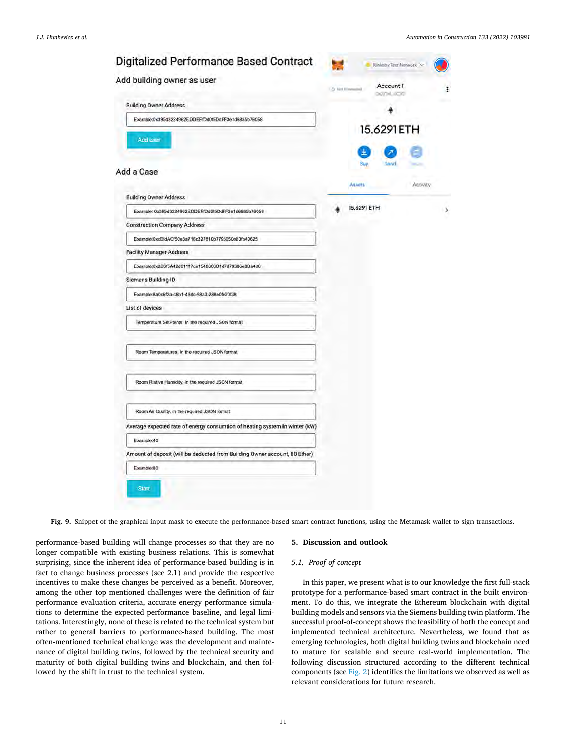<span id="page-10-0"></span>

| Digitalized Performance Based Contract<br>Add building owner as user        |                          | Rinkeloy Text Network |
|-----------------------------------------------------------------------------|--------------------------|-----------------------|
|                                                                             | Account 1<br>LO: NH File |                       |
| <b>Building Owner Address</b>                                               |                          |                       |
| Example:0x395d3224962EDDEFfDd0f5DdFF3e1d6885b76058                          |                          |                       |
| Add user                                                                    | 15.6291 ETH              |                       |
| Add a Case                                                                  | Buy                      |                       |
|                                                                             | Atlett.                  | Activity              |
| <b>Building Owner Address</b>                                               |                          |                       |
| Example: 0x395d3224962EDDEFfDd0f5DdFF3e1d6885b76058                         | 15.6291 ETH              |                       |
| <b>Construction Company Address</b>                                         |                          |                       |
| Example:0xcEfdACf50a3a716c327810b7795050e83fa40625                          |                          |                       |
| <b>Facility Manager Address</b>                                             |                          |                       |
| Example:0x2B6f5A42d01117ce1540806D1d7d79386e8Da4d8                          |                          |                       |
| Siemens Building-ID                                                         |                          |                       |
| Example:8a0c6f2a-c8b1-48dc-98a3-288e0fe20f38                                |                          |                       |
| List of devices                                                             |                          |                       |
| Temperature SetPoints, In the required JSON format                          |                          |                       |
| Room Temperatures, In the required JSON format                              |                          |                       |
| Room Riative Humidity, In the required JSCN format                          |                          |                       |
| Room Air Quality. In the required JSON format                               |                          |                       |
| Average expected rate of energy consumtion of heating system in winter (kW) |                          |                       |
| Example:40                                                                  |                          |                       |
| Amount of deposit (will be deducted from Building Owner account, 80 Ether)  |                          |                       |
| Example:80                                                                  |                          |                       |

**Fig. 9.** Snippet of the graphical input mask to execute the performance-based smart contract functions, using the Metamask wallet to sign transactions.

performance-based building will change processes so that they are no longer compatible with existing business relations. This is somewhat surprising, since the inherent idea of performance-based building is in fact to change business processes (see 2.1) and provide the respective incentives to make these changes be perceived as a benefit. Moreover, among the other top mentioned challenges were the definition of fair performance evaluation criteria, accurate energy performance simulations to determine the expected performance baseline, and legal limitations. Interestingly, none of these is related to the technical system but rather to general barriers to performance-based building. The most often-mentioned technical challenge was the development and maintenance of digital building twins, followed by the technical security and maturity of both digital building twins and blockchain, and then followed by the shift in trust to the technical system.

#### **5. Discussion and outlook**

# *5.1. Proof of concept*

In this paper, we present what is to our knowledge the first full-stack prototype for a performance-based smart contract in the built environment. To do this, we integrate the Ethereum blockchain with digital building models and sensors via the Siemens building twin platform. The successful proof-of-concept shows the feasibility of both the concept and implemented technical architecture. Nevertheless, we found that as emerging technologies, both digital building twins and blockchain need to mature for scalable and secure real-world implementation. The following discussion structured according to the different technical components (see [Fig. 2](#page-3-0)) identifies the limitations we observed as well as relevant considerations for future research.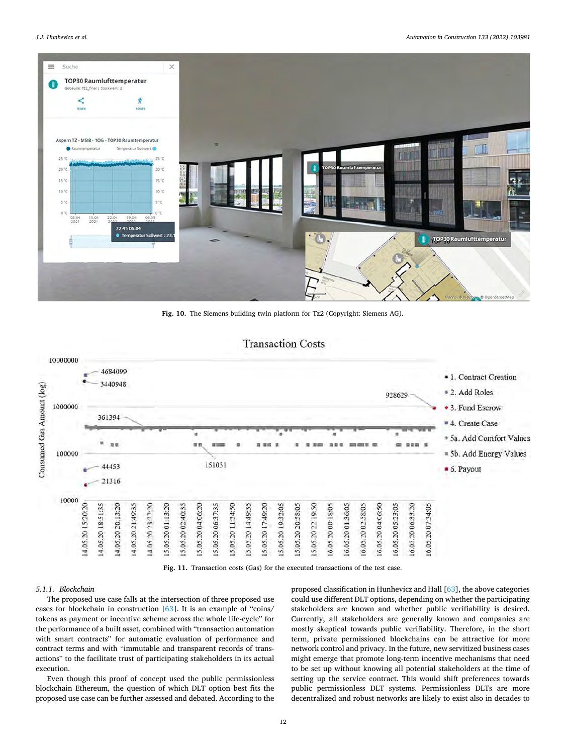<span id="page-11-0"></span>

**Fig. 10.** The Siemens building twin platform for Tz2 (Copyright: Siemens AG).



**Fig. 11.** Transaction costs (Gas) for the executed transactions of the test case.

# *5.1.1. Blockchain*

The proposed use case falls at the intersection of three proposed use cases for blockchain in construction [[63\]](#page-16-0). It is an example of "coins/ tokens as payment or incentive scheme across the whole life-cycle" for the performance of a built asset, combined with "transaction automation with smart contracts" for automatic evaluation of performance and contract terms and with "immutable and transparent records of transactions" to the facilitate trust of participating stakeholders in its actual execution.

Even though this proof of concept used the public permissionless blockchain Ethereum, the question of which DLT option best fits the proposed use case can be further assessed and debated. According to the

proposed classification in Hunhevicz and Hall [\[63](#page-16-0)], the above categories could use different DLT options, depending on whether the participating stakeholders are known and whether public verifiability is desired. Currently, all stakeholders are generally known and companies are mostly skeptical towards public verifiability. Therefore, in the short term, private permissioned blockchains can be attractive for more network control and privacy. In the future, new servitized business cases might emerge that promote long-term incentive mechanisms that need to be set up without knowing all potential stakeholders at the time of setting up the service contract. This would shift preferences towards public permissionless DLT systems. Permissionless DLTs are more decentralized and robust networks are likely to exist also in decades to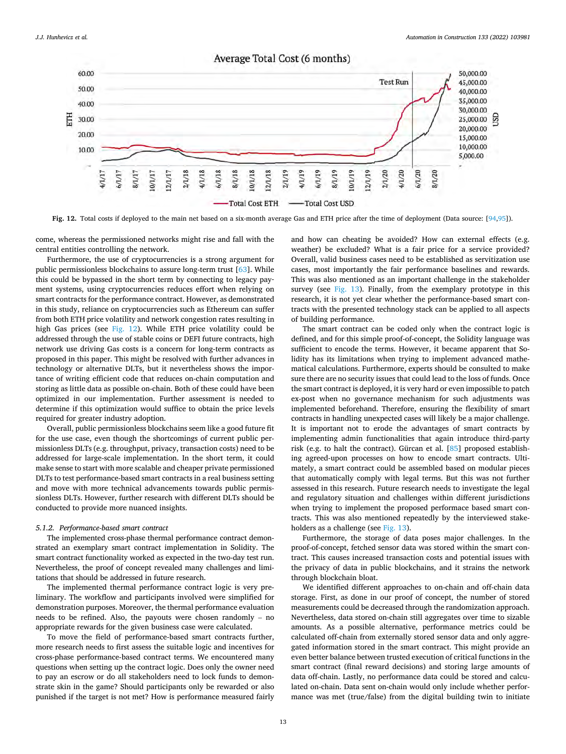<span id="page-12-0"></span>

**Fig. 12.** Total costs if deployed to the main net based on a six-month average Gas and ETH price after the time of deployment (Data source: [\[94,95](#page-16-0)]).

come, whereas the permissioned networks might rise and fall with the central entities controlling the network.

Furthermore, the use of cryptocurrencies is a strong argument for public permissionless blockchains to assure long-term trust [\[63](#page-16-0)]. While this could be bypassed in the short term by connecting to legacy payment systems, using cryptocurrencies reduces effort when relying on smart contracts for the performance contract. However, as demonstrated in this study, reliance on cryptocurrencies such as Ethereum can suffer from both ETH price volatility and network congestion rates resulting in high Gas prices (see Fig. 12). While ETH price volatility could be addressed through the use of stable coins or DEFI future contracts, high network use driving Gas costs is a concern for long-term contracts as proposed in this paper. This might be resolved with further advances in technology or alternative DLTs, but it nevertheless shows the importance of writing efficient code that reduces on-chain computation and storing as little data as possible on-chain. Both of these could have been optimized in our implementation. Further assessment is needed to determine if this optimization would suffice to obtain the price levels required for greater industry adoption.

Overall, public permissionless blockchains seem like a good future fit for the use case, even though the shortcomings of current public permissionless DLTs (e.g. throughput, privacy, transaction costs) need to be addressed for large-scale implementation. In the short term, it could make sense to start with more scalable and cheaper private permissioned DLTs to test performance-based smart contracts in a real business setting and move with more technical advancements towards public permissionless DLTs. However, further research with different DLTs should be conducted to provide more nuanced insights.

## *5.1.2. Performance-based smart contract*

The implemented cross-phase thermal performance contract demonstrated an exemplary smart contract implementation in Solidity. The smart contract functionality worked as expected in the two-day test run. Nevertheless, the proof of concept revealed many challenges and limitations that should be addressed in future research.

The implemented thermal performance contract logic is very preliminary. The workflow and participants involved were simplified for demonstration purposes. Moreover, the thermal performance evaluation needs to be refined. Also, the payouts were chosen randomly – no appropriate rewards for the given business case were calculated.

To move the field of performance-based smart contracts further, more research needs to first assess the suitable logic and incentives for cross-phase performance-based contract terms. We encountered many questions when setting up the contract logic. Does only the owner need to pay an escrow or do all stakeholders need to lock funds to demonstrate skin in the game? Should participants only be rewarded or also punished if the target is not met? How is performance measured fairly

and how can cheating be avoided? How can external effects (e.g. weather) be excluded? What is a fair price for a service provided? Overall, valid business cases need to be established as servitization use cases, most importantly the fair performance baselines and rewards. This was also mentioned as an important challenge in the stakeholder survey (see [Fig. 13](#page-13-0)). Finally, from the exemplary prototype in this research, it is not yet clear whether the performance-based smart contracts with the presented technology stack can be applied to all aspects of building performance.

The smart contract can be coded only when the contract logic is defined, and for this simple proof-of-concept, the Solidity language was sufficient to encode the terms. However, it became apparent that Solidity has its limitations when trying to implement advanced mathematical calculations. Furthermore, experts should be consulted to make sure there are no security issues that could lead to the loss of funds. Once the smart contract is deployed, it is very hard or even impossible to patch ex-post when no governance mechanism for such adjustments was implemented beforehand. Therefore, ensuring the flexibility of smart contracts in handling unexpected cases will likely be a major challenge. It is important not to erode the advantages of smart contracts by implementing admin functionalities that again introduce third-party risk (e.g. to halt the contract). Gürcan et al. [\[85](#page-16-0)] proposed establishing agreed-upon processes on how to encode smart contracts. Ultimately, a smart contract could be assembled based on modular pieces that automatically comply with legal terms. But this was not further assessed in this research. Future research needs to investigate the legal and regulatory situation and challenges within different jurisdictions when trying to implement the proposed performace based smart contracts. This was also mentioned repeatedly by the interviewed stake-holders as a challenge (see [Fig. 13\)](#page-13-0).

Furthermore, the storage of data poses major challenges. In the proof-of-concept, fetched sensor data was stored within the smart contract. This causes increased transaction costs and potential issues with the privacy of data in public blockchains, and it strains the network through blockchain bloat.

We identified different approaches to on-chain and off-chain data storage. First, as done in our proof of concept, the number of stored measurements could be decreased through the randomization approach. Nevertheless, data stored on-chain still aggregates over time to sizable amounts. As a possible alternative, performance metrics could be calculated off-chain from externally stored sensor data and only aggregated information stored in the smart contract. This might provide an even better balance between trusted execution of critical functions in the smart contract (final reward decisions) and storing large amounts of data off-chain. Lastly, no performance data could be stored and calculated on-chain. Data sent on-chain would only include whether performance was met (true/false) from the digital building twin to initiate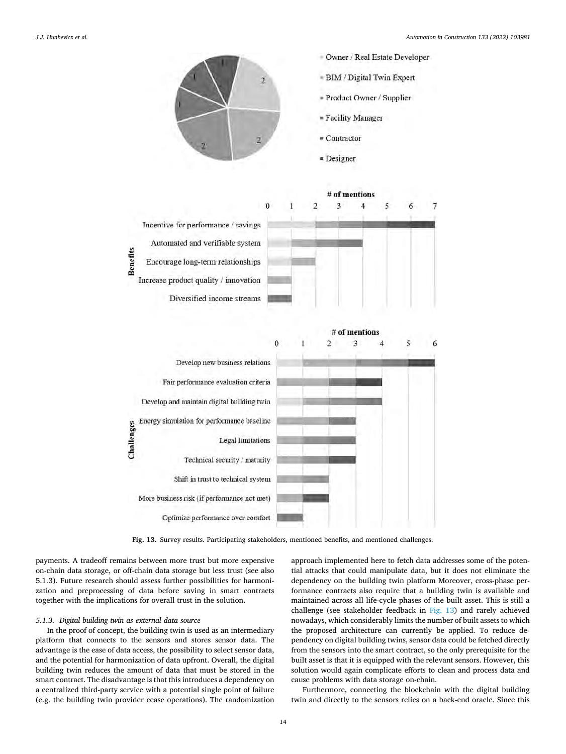<span id="page-13-0"></span>





**Fig. 13.** Survey results. Participating stakeholders, mentioned benefits, and mentioned challenges.

payments. A tradeoff remains between more trust but more expensive on-chain data storage, or off-chain data storage but less trust (see also 5.1.3). Future research should assess further possibilities for harmonization and preprocessing of data before saving in smart contracts together with the implications for overall trust in the solution.

#### *5.1.3. Digital building twin as external data source*

In the proof of concept, the building twin is used as an intermediary platform that connects to the sensors and stores sensor data. The advantage is the ease of data access, the possibility to select sensor data, and the potential for harmonization of data upfront. Overall, the digital building twin reduces the amount of data that must be stored in the smart contract. The disadvantage is that this introduces a dependency on a centralized third-party service with a potential single point of failure (e.g. the building twin provider cease operations). The randomization

approach implemented here to fetch data addresses some of the potential attacks that could manipulate data, but it does not eliminate the dependency on the building twin platform Moreover, cross-phase performance contracts also require that a building twin is available and maintained across all life-cycle phases of the built asset. This is still a challenge (see stakeholder feedback in Fig. 13) and rarely achieved nowadays, which considerably limits the number of built assets to which the proposed architecture can currently be applied. To reduce dependency on digital building twins, sensor data could be fetched directly from the sensors into the smart contract, so the only prerequisite for the built asset is that it is equipped with the relevant sensors. However, this solution would again complicate efforts to clean and process data and cause problems with data storage on-chain.

Furthermore, connecting the blockchain with the digital building twin and directly to the sensors relies on a back-end oracle. Since this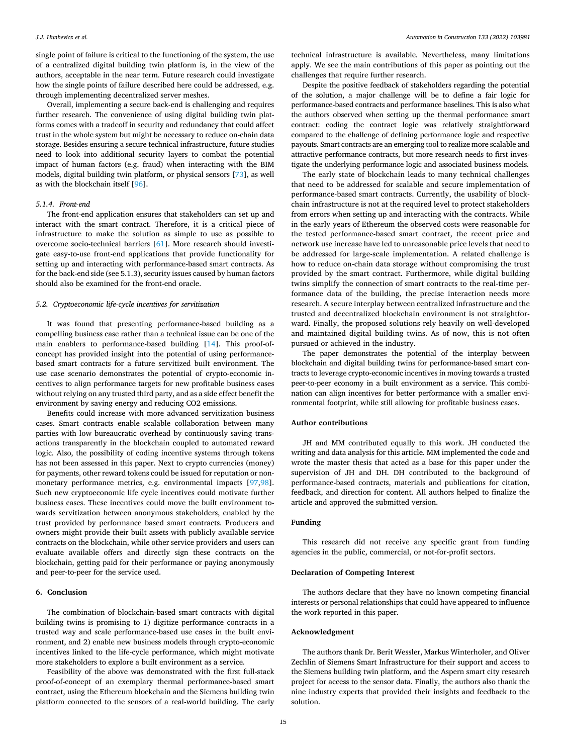single point of failure is critical to the functioning of the system, the use of a centralized digital building twin platform is, in the view of the authors, acceptable in the near term. Future research could investigate how the single points of failure described here could be addressed, e.g. through implementing decentralized server meshes.

Overall, implementing a secure back-end is challenging and requires further research. The convenience of using digital building twin platforms comes with a tradeoff in security and redundancy that could affect trust in the whole system but might be necessary to reduce on-chain data storage. Besides ensuring a secure technical infrastructure, future studies need to look into additional security layers to combat the potential impact of human factors (e.g. fraud) when interacting with the BIM models, digital building twin platform, or physical sensors [[73](#page-16-0)], as well as with the blockchain itself [[96](#page-16-0)].

#### *5.1.4. Front-end*

The front-end application ensures that stakeholders can set up and interact with the smart contract. Therefore, it is a critical piece of infrastructure to make the solution as simple to use as possible to overcome socio-technical barriers [\[61](#page-16-0)]. More research should investigate easy-to-use front-end applications that provide functionality for setting up and interacting with performance-based smart contracts. As for the back-end side (see 5.1.3), security issues caused by human factors should also be examined for the front-end oracle.

## *5.2. Cryptoeconomic life-cycle incentives for servitization*

It was found that presenting performance-based building as a compelling business case rather than a technical issue can be one of the main enablers to performance-based building [[14\]](#page-15-0). This proof-ofconcept has provided insight into the potential of using performancebased smart contracts for a future servitized built environment. The use case scenario demonstrates the potential of crypto-economic incentives to align performance targets for new profitable business cases without relying on any trusted third party, and as a side effect benefit the environment by saving energy and reducing CO2 emissions.

Benefits could increase with more advanced servitization business cases. Smart contracts enable scalable collaboration between many parties with low bureaucratic overhead by continuously saving transactions transparently in the blockchain coupled to automated reward logic. Also, the possibility of coding incentive systems through tokens has not been assessed in this paper. Next to crypto currencies (money) for payments, other reward tokens could be issued for reputation or nonmonetary performance metrics, e.g. environmental impacts [[97,98](#page-16-0)]. Such new cryptoeconomic life cycle incentives could motivate further business cases. These incentives could move the built environment towards servitization between anonymous stakeholders, enabled by the trust provided by performance based smart contracts. Producers and owners might provide their built assets with publicly available service contracts on the blockchain, while other service providers and users can evaluate available offers and directly sign these contracts on the blockchain, getting paid for their performance or paying anonymously and peer-to-peer for the service used.

## **6. Conclusion**

The combination of blockchain-based smart contracts with digital building twins is promising to 1) digitize performance contracts in a trusted way and scale performance-based use cases in the built environment, and 2) enable new business models through crypto-economic incentives linked to the life-cycle performance, which might motivate more stakeholders to explore a built environment as a service.

Feasibility of the above was demonstrated with the first full-stack proof-of-concept of an exemplary thermal performance-based smart contract, using the Ethereum blockchain and the Siemens building twin platform connected to the sensors of a real-world building. The early

technical infrastructure is available. Nevertheless, many limitations apply. We see the main contributions of this paper as pointing out the challenges that require further research.

Despite the positive feedback of stakeholders regarding the potential of the solution, a major challenge will be to define a fair logic for performance-based contracts and performance baselines. This is also what the authors observed when setting up the thermal performance smart contract: coding the contract logic was relatively straightforward compared to the challenge of defining performance logic and respective payouts. Smart contracts are an emerging tool to realize more scalable and attractive performance contracts, but more research needs to first investigate the underlying performance logic and associated business models.

The early state of blockchain leads to many technical challenges that need to be addressed for scalable and secure implementation of performance-based smart contracts. Currently, the usability of blockchain infrastructure is not at the required level to protect stakeholders from errors when setting up and interacting with the contracts. While in the early years of Ethereum the observed costs were reasonable for the tested performance-based smart contract, the recent price and network use increase have led to unreasonable price levels that need to be addressed for large-scale implementation. A related challenge is how to reduce on-chain data storage without compromising the trust provided by the smart contract. Furthermore, while digital building twins simplify the connection of smart contracts to the real-time performance data of the building, the precise interaction needs more research. A secure interplay between centralized infrastructure and the trusted and decentralized blockchain environment is not straightforward. Finally, the proposed solutions rely heavily on well-developed and maintained digital building twins. As of now, this is not often pursued or achieved in the industry.

The paper demonstrates the potential of the interplay between blockchain and digital building twins for performance-based smart contracts to leverage crypto-economic incentives in moving towards a trusted peer-to-peer economy in a built environment as a service. This combination can align incentives for better performance with a smaller environmental footprint, while still allowing for profitable business cases.

# **Author contributions**

JH and MM contributed equally to this work. JH conducted the writing and data analysis for this article. MM implemented the code and wrote the master thesis that acted as a base for this paper under the supervision of JH and DH. DH contributed to the background of performance-based contracts, materials and publications for citation, feedback, and direction for content. All authors helped to finalize the article and approved the submitted version.

# **Funding**

This research did not receive any specific grant from funding agencies in the public, commercial, or not-for-profit sectors.

## **Declaration of Competing Interest**

The authors declare that they have no known competing financial interests or personal relationships that could have appeared to influence the work reported in this paper.

#### **Acknowledgment**

The authors thank Dr. Berit Wessler, Markus Winterholer, and Oliver Zechlin of Siemens Smart Infrastructure for their support and access to the Siemens building twin platform, and the Aspern smart city research project for access to the sensor data. Finally, the authors also thank the nine industry experts that provided their insights and feedback to the solution.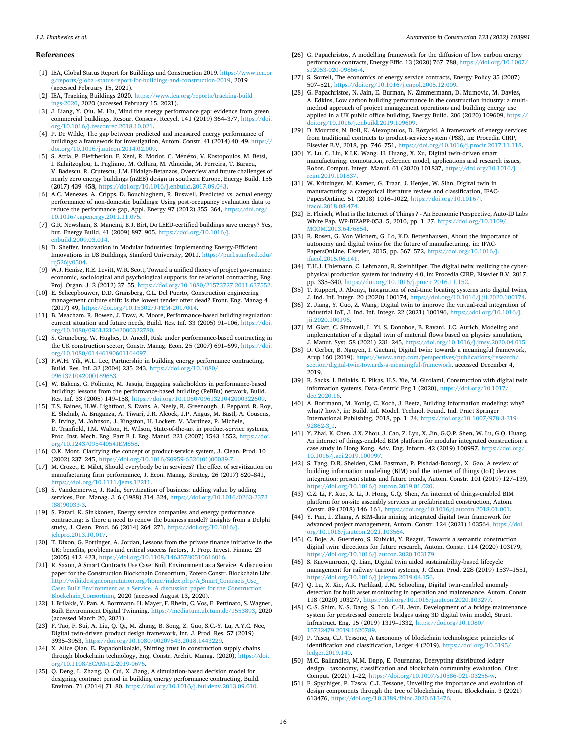#### <span id="page-15-0"></span>*J.J. Hunhevicz et al.*

#### **References**

- [1] IEA, Global Status Report for Buildings and Construction 2019. [https://www.iea.or](https://www.iea.org/reports/global-status-report-for-buildings-and-construction-2019)  [g/reports/global-status-report-for-buildings-and-construction-2019,](https://www.iea.org/reports/global-status-report-for-buildings-and-construction-2019) 2019 (accessed February 15, 2021).
- [2] IEA, Tracking Buildings 2020. [https://www.iea.org/reports/tracking-build](https://www.iea.org/reports/tracking-buildings-2020)  [ings-2020,](https://www.iea.org/reports/tracking-buildings-2020) 2020 (accessed February 15, 2021).
- [3] J. Liang, Y. Qiu, M. Hu, Mind the energy performance gap: evidence from green commercial buildings, Resour. Conserv. Recycl. 141 (2019) 364–377, [https://doi.](https://doi.org/10.1016/j.resconrec.2018.10.021)  [org/10.1016/j.resconrec.2018.10.021.](https://doi.org/10.1016/j.resconrec.2018.10.021)
- [4] P. De Wilde, The gap between predicted and measured energy performance of buildings: a framework for investigation, Autom. Constr. 41 (2014) 40–49, [https://](https://doi.org/10.1016/j.autcon.2014.02.009)  [doi.org/10.1016/j.autcon.2014.02.009](https://doi.org/10.1016/j.autcon.2014.02.009).
- [5] S. Attia, P. Eleftheriou, F. Xeni, R. Morlot, C. M´en´ezo, V. Kostopoulos, M. Betsi, I. Kalaitzoglou, L. Pagliano, M. Cellura, M. Almeida, M. Ferreira, T. Baracu, V. Badescu, R. Crutescu, J.M. Hidalgo-Betanzos, Overview and future challenges of nearly zero energy buildings (nZEB) design in southern Europe, Energy Build. 155 (2017) 439–458, <https://doi.org/10.1016/j.enbuild.2017.09.043>.
- [6] A.C. Menezes, A. Cripps, D. Bouchlaghem, R. Buswell, Predicted vs. actual energy performance of non-domestic buildings: Using post-occupancy evaluation data to reduce the performance gap, Appl. Energy 97 (2012) 355–364, [https://doi.org/](https://doi.org/10.1016/j.apenergy.2011.11.075) [10.1016/j.apenergy.2011.11.075.](https://doi.org/10.1016/j.apenergy.2011.11.075)
- [7] G.R. Newsham, S. Mancini, B.J. Birt, Do LEED-certified buildings save energy? Yes, but, Energy Build. 41 (2009) 897–905, [https://doi.org/10.1016/j.](https://doi.org/10.1016/j.enbuild.2009.03.014) [enbuild.2009.03.014.](https://doi.org/10.1016/j.enbuild.2009.03.014)
- [8] D. Sheffer, Innovation in Modular Industries: Implementing Energy-Efficient Innovations in US Buildings, Stanford University, 2011. [https://purl.stanford.edu/](https://purl.stanford.edu/rq526jy0504)  a526iv0504.
- [9] W.J. Henisz, R.E. Levitt, W.R. Scott, Toward a unified theory of project governance: economic, sociological and psychological supports for relational contracting, Eng. Proj. Organ. J. 2 (2012) 37–55, [https://doi.org/10.1080/21573727.2011.637552.](https://doi.org/10.1080/21573727.2011.637552)
- [10] E. Scheepbouwer, D.D. Gransberg, C.L. Del Puerto, Construction engineering management culture shift: Is the lowest tender offer dead? Front. Eng. Manag 4 (2017) 49, [https://doi.org/10.15302/J-FEM-2017014.](https://doi.org/10.15302/J-FEM-2017014)
- [11] B. Meacham, R. Bowen, J. Traw, A. Moore, Performance-based building regulation: current situation and future needs, Build. Res. Inf. 33 (2005) 91–106, [https://doi.](https://doi.org/10.1080/0961321042000322780)  [org/10.1080/0961321042000322780](https://doi.org/10.1080/0961321042000322780).
- [12] S. Gruneberg, W. Hughes, D. Ancell, Risk under performance-based contracting in the UK construction sector, Constr. Manag. Econ. 25 (2007) 691–699, [https://doi.](https://doi.org/10.1080/01446190601164097)  [org/10.1080/01446190601164097](https://doi.org/10.1080/01446190601164097).
- [13] F.W.H. Yik, W.L. Lee, Partnership in building energy performance contracting, Build. Res. Inf. 32 (2004) 235–243, [https://doi.org/10.1080/](https://doi.org/10.1080/0961321042000189653) [0961321042000189653](https://doi.org/10.1080/0961321042000189653).
- [14] W. Bakens, G. Foliente, M. Jasuja, Engaging stakeholders in performance-based building: lessons from the performance-based building (PeBBu) network, Build. Res. Inf. 33 (2005) 149–158, [https://doi.org/10.1080/0961321042000322609.](https://doi.org/10.1080/0961321042000322609)
- [15] T.S. Baines, H.W. Lightfoot, S. Evans, A. Neely, R. Greenough, J. Peppard, R. Roy, E. Shehab, A. Braganza, A. Tiwari, J.R. Alcock, J.P. Angus, M. Bastl, A. Cousens, P. Irving, M. Johnson, J. Kingston, H. Lockett, V. Martinez, P. Michele, D. Tranfield, I.M. Walton, H. Wilson, State-of-the-art in product-service systems, Proc. Inst. Mech. Eng. Part B J. Eng. Manuf. 221 (2007) 1543–1552, [https://doi.](https://doi.org/10.1243/09544054JEM858) rg/10.1243/09544054JEM858.
- [16] O.K. Mont, Clarifying the concept of product-service system, J. Clean. Prod. 10 (2002) 237–245, [https://doi.org/10.1016/S0959-6526\(01\)00039-7](https://doi.org/10.1016/S0959-6526(01)00039-7).
- [17] M. Crozet, E. Milet, Should everybody be in services? The effect of servitization on manufacturing firm performance, J. Econ. Manag. Strateg. 26 (2017) 820–841, [https://doi.org/10.1111/jems.12211.](https://doi.org/10.1111/jems.12211)
- [18] S. Vandermerwe, J. Rada, Servitization of business: adding value by adding services, Eur. Manag. J. 6 (1988) 314–324, [https://doi.org/10.1016/0263-2373](https://doi.org/10.1016/0263-2373(88)90033-3) [\(88\)90033-3.](https://doi.org/10.1016/0263-2373(88)90033-3)
- [19] S. Pätäri, K. Sinkkonen, Energy service companies and energy performance contracting: is there a need to renew the business model? Insights from a Delphi study, J. Clean. Prod. 66 (2014) 264–271, [https://doi.org/10.1016/j.](https://doi.org/10.1016/j.jclepro.2013.10.017)  [jclepro.2013.10.017](https://doi.org/10.1016/j.jclepro.2013.10.017).
- [20] T. Dixon, G. Pottinger, A. Jordan, Lessons from the private finance initiative in the UK: benefits, problems and critical success factors, J. Prop. Invest. Financ. 23 (2005) 412–423, [https://doi.org/10.1108/14635780510616016.](https://doi.org/10.1108/14635780510616016)
- [21] R. Saxon, A Smart Contracts Use Case: Built Environment as a Service. A discussion paper for the Construction Blockchain Consortium, Zotero Constr. Blockchain Libr. [http://wiki.designcomputation.org/home/index.php/A\\_Smart\\_Contracts\\_Use\\_](http://wiki.designcomputation.org/home/index.php/A_Smart_Contracts_Use_Case:_Built_Environment_as_a_Service._A_discussion_paper_for_the_Construction_Blockchain_Consortium) [Case:\\_Built\\_Environment\\_as\\_a\\_Service.\\_A\\_discussion\\_paper\\_for\\_the\\_Construction\\_](http://wiki.designcomputation.org/home/index.php/A_Smart_Contracts_Use_Case:_Built_Environment_as_a_Service._A_discussion_paper_for_the_Construction_Blockchain_Consortium)  [Blockchain\\_Consortium](http://wiki.designcomputation.org/home/index.php/A_Smart_Contracts_Use_Case:_Built_Environment_as_a_Service._A_discussion_paper_for_the_Construction_Blockchain_Consortium), 2020 (accessed August 13, 2020).
- [22] I. Brilakis, Y. Pan, A. Borrmann, H. Mayer, F. Rhein, C. Vos, E. Pettinato, S. Wagner, Built Environment Digital Twinning. [https://mediatum.ub.tum.de/1553893,](https://mediatum.ub.tum.de/1553893) 2020 (accessed March 20, 2021).
- [23] F. Tao, F. Sui, A. Liu, Q. Qi, M. Zhang, B. Song, Z. Guo, S.C.-Y. Lu, A.Y.C. Nee, Digital twin-driven product design framework, Int. J. Prod. Res. 57 (2019) 3935–3953, [https://doi.org/10.1080/00207543.2018.1443229.](https://doi.org/10.1080/00207543.2018.1443229)
- [24] X. Alice Qian, E. Papadonikolaki, Shifting trust in construction supply chains through blockchain technology, Eng. Constr. Archit. Manag. (2020), [https://doi.](https://doi.org/10.1108/ECAM-12-2019-0676)  org/10.1108/ECAM-12-2019
- [25] Q. Deng, L. Zhang, Q. Cui, X. Jiang, A simulation-based decision model for designing contract period in building energy performance contracting, Build. Environ. 71 (2014) 71–80,<https://doi.org/10.1016/j.buildenv.2013.09.010>.
- [26] G. Papachristos, A modelling framework for the diffusion of low carbon energy performance contracts, Energy Effic. 13 (2020) 767–788, [https://doi.org/10.1007/](https://doi.org/10.1007/s12053-020-09866-4)  12053-020-09866-4
- [27] S. Sorrell, The economics of energy service contracts, Energy Policy 35 (2007) 507–521, [https://doi.org/10.1016/j.enpol.2005.12.009.](https://doi.org/10.1016/j.enpol.2005.12.009)
- [28] G. Papachristos, N. Jain, E. Burman, N. Zimmermann, D. Mumovic, M. Davies, A. Edkins, Low carbon building performance in the construction industry: a multimethod approach of project management operations and building energy use applied in a UK public office building, Energy Build. 206 (2020) 109609, [https://](https://doi.org/10.1016/j.enbuild.2019.109609)  [doi.org/10.1016/j.enbuild.2019.109609](https://doi.org/10.1016/j.enbuild.2019.109609)
- [29] D. Mourtzis, N. Boli, K. Alexopoulos, D. Rózycki, A framework of energy services: from traditional contracts to product-service system (PSS), in: Procedia CIRP, Elsevier B.V, 2018, pp. 746–751, <https://doi.org/10.1016/j.procir.2017.11.118>.
- [30] Y. Lu, C. Liu, K.I.K. Wang, H. Huang, X. Xu, Digital twin-driven smart manufacturing: connotation, reference model, applications and research issues, Robot. Comput. Integr. Manuf. 61 (2020) 101837, [https://doi.org/10.1016/j.](https://doi.org/10.1016/j.rcim.2019.101837) [rcim.2019.101837](https://doi.org/10.1016/j.rcim.2019.101837).
- [31] W. Kritzinger, M. Karner, G. Traar, J. Henjes, W. Sihn, Digital twin in manufacturing: a categorical literature review and classification, IFAC-PapersOnLine. 51 (2018) 1016–1022, [https://doi.org/10.1016/j.](https://doi.org/10.1016/j.ifacol.2018.08.474)  ifacol.2018.08.47
- [32] E. Fleisch, What is the Internet of Things ? An Economic Perspective, Auto-ID Labs White Pap. WP-BIZAPP-053. 5, 2010, pp. 1–27, [https://doi.org/10.1109/](https://doi.org/10.1109/MCOM.2013.6476854)  [MCOM.2013.6476854](https://doi.org/10.1109/MCOM.2013.6476854).
- [33] R. Rosen, G. Von Wichert, G. Lo, K.D. Bettenhausen, About the importance of autonomy and digital twins for the future of manufacturing, in: IFAC-PapersOnLine, Elsevier, 2015, pp. 567–572, [https://doi.org/10.1016/j.](https://doi.org/10.1016/j.ifacol.2015.06.141)  [ifacol.2015.06.141](https://doi.org/10.1016/j.ifacol.2015.06.141).
- [34] T.H.J. Uhlemann, C. Lehmann, R. Steinhilper, The digital twin: realizing the cyberphysical production system for industry 4.0, in: Procedia CIRP, Elsevier B.V, 2017, pp. 335–340, [https://doi.org/10.1016/j.procir.2016.11.152.](https://doi.org/10.1016/j.procir.2016.11.152)
- [35] T. Ruppert, J. Abonyi, Integration of real-time locating systems into digital twins, J. Ind. Inf. Integr. 20 (2020) 100174, [https://doi.org/10.1016/j.jii.2020.100174.](https://doi.org/10.1016/j.jii.2020.100174)
- [36] Z. Jiang, Y. Guo, Z. Wang, Digital twin to improve the virtual-real integration of industrial IoT, J. Ind. Inf. Integr. 22 (2021) 100196, [https://doi.org/10.1016/j.](https://doi.org/10.1016/j.jii.2020.100196)  [jii.2020.100196](https://doi.org/10.1016/j.jii.2020.100196).
- [37] M. Glatt, C. Sinnwell, L. Yi, S. Donohoe, B. Ravani, J.C. Aurich, Modeling and implementation of a digital twin of material flows based on physics simulation, J. Manuf. Syst. 58 (2021) 231–245, <https://doi.org/10.1016/j.jmsy.2020.04.015>.
- [38] D. Gerber, B. Nguyen, I. Gaetani, Digital twin: towards a meaningful framework, Arup 160 (2019). [https://www.arup.com/perspectives/publications/research/](https://www.arup.com/perspectives/publications/research/section/digital-twin-towards-a-meaningful-framework)  [section/digital-twin-towards-a-meaningful-framework](https://www.arup.com/perspectives/publications/research/section/digital-twin-towards-a-meaningful-framework). accessed December 4, 2019.
- [39] R. Sacks, I. Brilakis, E. Pikas, H.S. Xie, M. Girolami, Construction with digital twin information systems, Data-Centric Eng 1 (2020), [https://doi.org/10.1017/](https://doi.org/10.1017/dce.2020.16) [dce.2020.16.](https://doi.org/10.1017/dce.2020.16)
- [40] A. Borrmann, M. König, C. Koch, J. Beetz, Building information modeling: why? what? how?, in: Build. Inf. Model. Technol. Found. Ind. Pract Springer International Publishing, 2018, pp. 1–24, [https://doi.org/10.1007/978-3-319-](https://doi.org/10.1007/978-3-319-92862-3_1)  [92862-3\\_1](https://doi.org/10.1007/978-3-319-92862-3_1).
- [41] Y. Zhai, K. Chen, J.X. Zhou, J. Cao, Z. Lyu, X. Jin, G.Q.P. Shen, W. Lu, G.Q. Huang, An internet of things-enabled BIM platform for modular integrated construction: a case study in Hong Kong, Adv. Eng. Inform. 42 (2019) 100997, [https://doi.org/](https://doi.org/10.1016/j.aei.2019.100997) [10.1016/j.aei.2019.100997.](https://doi.org/10.1016/j.aei.2019.100997)
- [42] S. Tang, D.R. Shelden, C.M. Eastman, P. Pishdad-Bozorgi, X. Gao, A review of building information modeling (BIM) and the internet of things (IoT) devices integration: present status and future trends, Autom. Constr. 101 (2019) 127–139, s://doi.org/10.1016/j.autcon.2019.01.020
- [43] C.Z. Li, F. Xue, X. Li, J. Hong, G.Q. Shen, An internet of things-enabled BIM platform for on-site assembly services in prefabricated construction, Autom. Constr. 89 (2018) 146–161, [https://doi.org/10.1016/j.autcon.2018.01.001.](https://doi.org/10.1016/j.autcon.2018.01.001)
- [44] Y. Pan, L. Zhang, A BIM-data mining integrated digital twin framework for advanced project management, Autom. Constr. 124 (2021) 103564, [https://doi.](https://doi.org/10.1016/j.autcon.2021.103564)  [org/10.1016/j.autcon.2021.103564](https://doi.org/10.1016/j.autcon.2021.103564).
- [45] C. Boje, A. Guerriero, S. Kubicki, Y. Rezgui, Towards a semantic construction digital twin: directions for future research, Autom. Constr. 114 (2020) 103179, <https://doi.org/10.1016/j.autcon.2020.103179>.
- [46] S. Kaewunruen, Q. Lian, Digital twin aided sustainability-based lifecycle management for railway turnout systems, J. Clean. Prod. 228 (2019) 1537–1551, [https://doi.org/10.1016/j.jclepro.2019.04.156.](https://doi.org/10.1016/j.jclepro.2019.04.156)
- [47] Q. Lu, X. Xie, A.K. Parlikad, J.M. Schooling, Digital twin-enabled anomaly detection for built asset monitoring in operation and maintenance, Autom. Constr. 118 (2020) 103277, [https://doi.org/10.1016/j.autcon.2020.103277.](https://doi.org/10.1016/j.autcon.2020.103277)
- [48] C.-S. Shim, N.-S. Dang, S. Lon, C.-H. Jeon, Development of a bridge maintenance system for prestressed concrete bridges using 3D digital twin model, Struct. Infrastruct. Eng. 15 (2019) 1319–1332, [https://doi.org/10.1080/](https://doi.org/10.1080/15732479.2019.1620789) [15732479.2019.1620789.](https://doi.org/10.1080/15732479.2019.1620789)
- [49] P. Tasca, C.J. Tessone, A taxonomy of blockchain technologies: principles of identification and classification, Ledger 4 (2019), [https://doi.org/10.5195/](https://doi.org/10.5195/ledger.2019.140)  [ledger.2019.140](https://doi.org/10.5195/ledger.2019.140).
- [50] M.C. Ballandies, M.M. Dapp, E. Pournaras, Decrypting distributed ledger design—taxonomy, classification and blockchain community evaluation, Clust. Comput. (2021) 1–22, [https://doi.org/10.1007/s10586-021-03256-w.](https://doi.org/10.1007/s10586-021-03256-w)
- [51] F. Spychiger, P. Tasca, C.J. Tessone, Unveiling the importance and evolution of design components through the tree of blockchain, Front. Blockchain. 3 (2021) 613476, [https://doi.org/10.3389/fbloc.2020.613476.](https://doi.org/10.3389/fbloc.2020.613476)